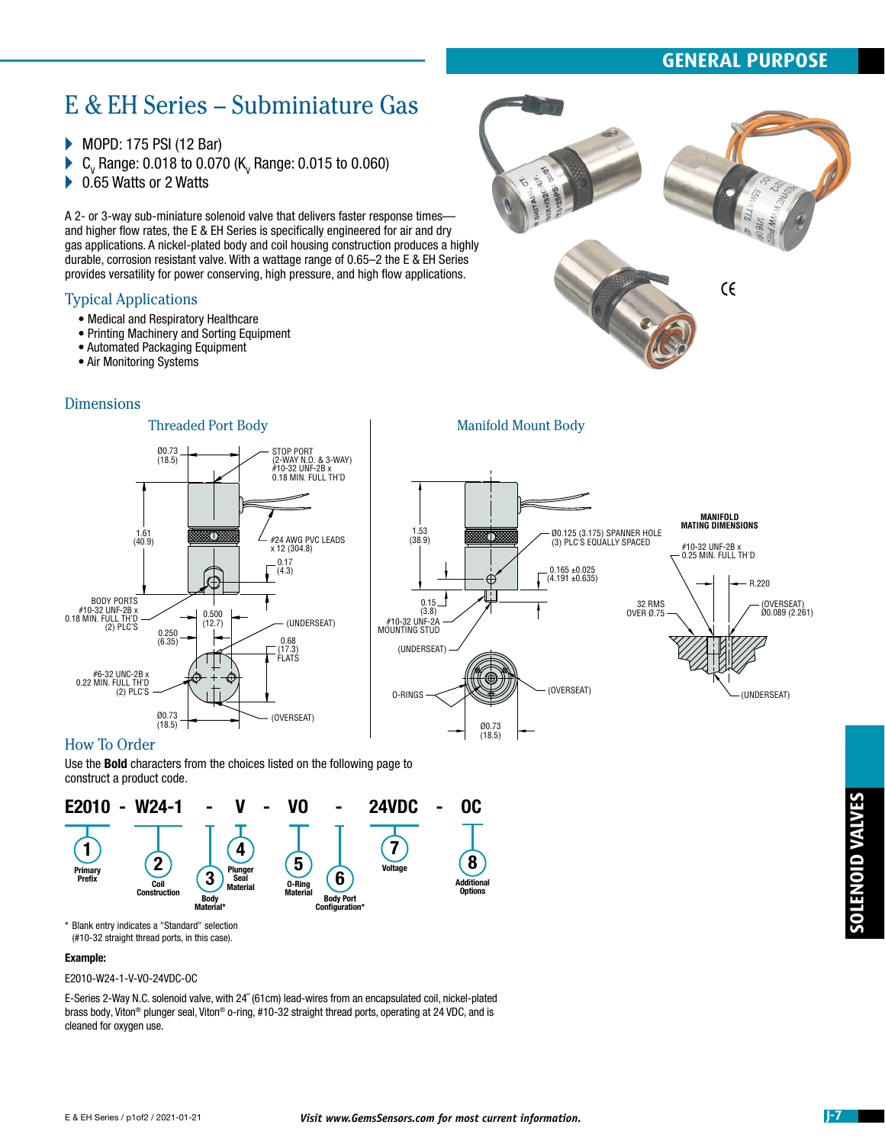# **GENERAL PURPOSE**

# E & EH Series – Subminiature Gas

▶ MOPD: 175 PSI (12 Bar)

- $\blacktriangleright$  C<sub>v</sub> Range: 0.018 to 0.070 (K<sub>v</sub> Range: 0.015 to 0.060)
- ▶ 0.65 Watts or 2 Watts

A 2- or 3-way sub-miniature solenoid valve that delivers faster response times and higher flow rates, the E & EH Series is specifically engineered for air and dry gas applications. A nickel-plated body and coil housing construction produces a highly durable, corrosion resistant valve. With a wattage range of 0.65–2 the E & EH Series provides versatility for power conserving, high pressure, and high flow applications.

#### Typical Applications

- Medical and Respiratory Healthcare
- Printing Machinery and Sorting Equipment
- Automated Packaging Equipment

Ø0.73 (18.5)

0.250 (6.35)

Ø0.73 (18.5)

1.61 (40.9)

• Air Monitoring Systems

#### **Dimensions**



#### Threaded Port Body **Manifold Mount Body** STOP PORT (2-WAY N.O. & 3-WAY) #10-32 UNF-2B x 0.18 MIN. FULL TH'D **MANIFOLD MATING DIMENSIONS** 1.53 (38.9) Ø0.125 (3.175) SPANNER HOLE (3) PLC'S EQUALLY SPACED m 8T. #24 AWG PVC LEADS x 12 (304.8) #10-32 UNF-2B x 0.25 MIN. FULL TH'D 0.17 0.165 ±0.025  $(4.3)$  $(4.191 + 0.635)$ ₿ R.220 0.15 (3.8) 32 RMS (OVERSEAT) Ø0.089 (2.261) OVER Ø.75 0.500 (12.7) (UNDERSEAT) #10-32 UNF-2A MOUNTING STUD 0.68 (UNDERSEAT) (17.3) FLATS O-RINGS (OVERSEAT) (UNDERSEAT) (OVERSEAT) Ø0.73 (18.5)

#### How To Order

#6-32 UNC-2B x 0.22 MIN. FULL TH'D (2) PLC'S

BODY PORTS<br>10-32 UNF-2B x#<br>10.18 MIN. FULL TH (2) PLC'S

Use the Bold characters from the choices listed on the following page to construct a product code.



\* Blank entry indicates a "Standard" selection (#10-32 straight thread ports, in this case).

#### Example:

E2010-W24-1-V-VO-24VDC-OC

E-Series 2-Way N.C. solenoid valve, with 24˝ (61cm) lead-wires from an encapsulated coil, nickel-plated brass body, Viton® plunger seal, Viton® o-ring, #10-32 straight thread ports, operating at 24 VDC, and is cleaned for oxygen use.